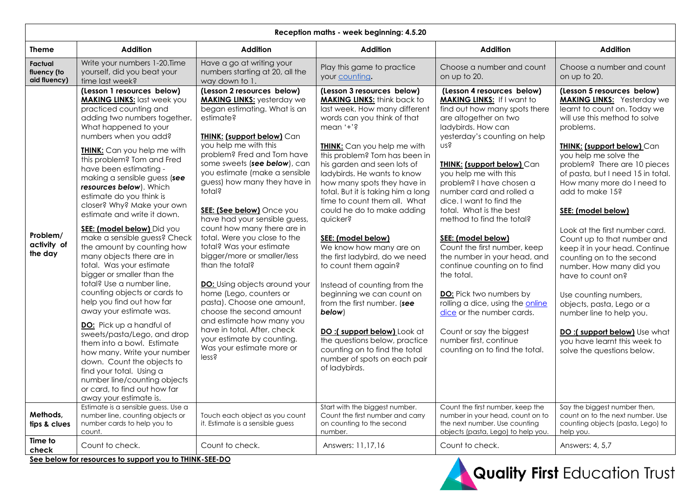| Reception maths - week beginning: 4.5.20 |                                                                                                                                                                                                                                                                                                                                                                                                                                                                                                                                                                                                                                                                                                                                                                                                                                                                                                                                                                                                                    |                                                                                                                                                                                                                                                                                                                                                                                                                                                                                                                                                                                                                                                                                                                                                                                             |                                                                                                                                                                                                                                                                                                                                                                                                                                                                                                                                                                                                                                                                                                                                                                                                     |                                                                                                                                                                                                                                                                                                                                                                                                                                                                                                                                                                                                                                                                                                                                 |                                                                                                                                                                                                                                                                                                                                                                                                                                                                                                                                                                                                                                                                                                                         |
|------------------------------------------|--------------------------------------------------------------------------------------------------------------------------------------------------------------------------------------------------------------------------------------------------------------------------------------------------------------------------------------------------------------------------------------------------------------------------------------------------------------------------------------------------------------------------------------------------------------------------------------------------------------------------------------------------------------------------------------------------------------------------------------------------------------------------------------------------------------------------------------------------------------------------------------------------------------------------------------------------------------------------------------------------------------------|---------------------------------------------------------------------------------------------------------------------------------------------------------------------------------------------------------------------------------------------------------------------------------------------------------------------------------------------------------------------------------------------------------------------------------------------------------------------------------------------------------------------------------------------------------------------------------------------------------------------------------------------------------------------------------------------------------------------------------------------------------------------------------------------|-----------------------------------------------------------------------------------------------------------------------------------------------------------------------------------------------------------------------------------------------------------------------------------------------------------------------------------------------------------------------------------------------------------------------------------------------------------------------------------------------------------------------------------------------------------------------------------------------------------------------------------------------------------------------------------------------------------------------------------------------------------------------------------------------------|---------------------------------------------------------------------------------------------------------------------------------------------------------------------------------------------------------------------------------------------------------------------------------------------------------------------------------------------------------------------------------------------------------------------------------------------------------------------------------------------------------------------------------------------------------------------------------------------------------------------------------------------------------------------------------------------------------------------------------|-------------------------------------------------------------------------------------------------------------------------------------------------------------------------------------------------------------------------------------------------------------------------------------------------------------------------------------------------------------------------------------------------------------------------------------------------------------------------------------------------------------------------------------------------------------------------------------------------------------------------------------------------------------------------------------------------------------------------|
| <b>Theme</b>                             | <b>Addition</b>                                                                                                                                                                                                                                                                                                                                                                                                                                                                                                                                                                                                                                                                                                                                                                                                                                                                                                                                                                                                    | <b>Addition</b>                                                                                                                                                                                                                                                                                                                                                                                                                                                                                                                                                                                                                                                                                                                                                                             | <b>Addition</b>                                                                                                                                                                                                                                                                                                                                                                                                                                                                                                                                                                                                                                                                                                                                                                                     | <b>Addition</b>                                                                                                                                                                                                                                                                                                                                                                                                                                                                                                                                                                                                                                                                                                                 | <b>Addition</b>                                                                                                                                                                                                                                                                                                                                                                                                                                                                                                                                                                                                                                                                                                         |
| Factual<br>fluency (to<br>aid fluency)   | Write your numbers 1-20. Time<br>yourself, did you beat your<br>time last week?                                                                                                                                                                                                                                                                                                                                                                                                                                                                                                                                                                                                                                                                                                                                                                                                                                                                                                                                    | Have a go at writing your<br>numbers starting at 20, all the<br>way down to 1.                                                                                                                                                                                                                                                                                                                                                                                                                                                                                                                                                                                                                                                                                                              | Play this game to practice<br>your counting.                                                                                                                                                                                                                                                                                                                                                                                                                                                                                                                                                                                                                                                                                                                                                        | Choose a number and count<br>on up to 20.                                                                                                                                                                                                                                                                                                                                                                                                                                                                                                                                                                                                                                                                                       | Choose a number and count<br>on up to 20.                                                                                                                                                                                                                                                                                                                                                                                                                                                                                                                                                                                                                                                                               |
| Problem/<br>activity of<br>the day       | (Lesson 1 resources below)<br><b>MAKING LINKS:</b> last week you<br>practiced counting and<br>adding two numbers together.<br>What happened to your<br>numbers when you add?<br><b>THINK:</b> Can you help me with<br>this problem? Tom and Fred<br>have been estimating -<br>making a sensible guess (see<br>resources below). Which<br>estimate do you think is<br>closer? Why? Make your own<br>estimate and write it down.<br>SEE: (model below) Did you<br>make a sensible guess? Check<br>the amount by counting how<br>many objects there are in<br>total. Was your estimate<br>bigger or smaller than the<br>total? Use a number line,<br>counting objects or cards to<br>help you find out how far<br>away your estimate was.<br>DO: Pick up a handful of<br>sweets/pasta/Lego, and drop<br>them into a bowl. Estimate<br>how many. Write your number<br>down. Count the objects to<br>find your total. Using a<br>number line/counting objects<br>or card, to find out how far<br>away your estimate is. | (Lesson 2 resources below)<br><b>MAKING LINKS:</b> yesterday we<br>began estimating. What is an<br>estimate?<br><b>THINK: (support below)</b> Can<br>you help me with this<br>problem? Fred and Tom have<br>some sweets (see below), can<br>you estimate (make a sensible<br>guess) how many they have in<br>total?<br>SEE: (See below) Once you<br>have had your sensible guess,<br>count how many there are in<br>total. Were you close to the<br>total? Was your estimate<br>bigger/more or smaller/less<br>than the total?<br><b>DO:</b> Using objects around your<br>home (Lego, counters or<br>pasta). Choose one amount,<br>choose the second amount<br>and estimate how many you<br>have in total. After, check<br>your estimate by counting.<br>Was your estimate more or<br>less? | (Lesson 3 resources below)<br><b>MAKING LINKS:</b> think back to<br>last week. How many different<br>words can you think of that<br>mean '+'?<br><b>THINK:</b> Can you help me with<br>this problem? Tom has been in<br>his garden and seen lots of<br>ladybirds. He wants to know<br>how many spots they have in<br>total. But it is taking him a long<br>time to count them all. What<br>could he do to make adding<br>quicker?<br>SEE: (model below)<br>We know how many are on<br>the first ladybird, do we need<br>to count them again?<br>Instead of counting from the<br>beginning we can count on<br>from the first number. (see<br>below)<br>DO:(support below) Look at<br>the questions below, practice<br>counting on to find the total<br>number of spots on each pair<br>of ladybirds. | (Lesson 4 resources below)<br><b>MAKING LINKS:</b> If I want to<br>find out how many spots there<br>are altogether on two<br>ladybirds. How can<br>yesterday's counting on help<br>nsś<br><b>THINK: (support below) Can</b><br>you help me with this<br>problem? I have chosen a<br>number card and rolled a<br>dice. I want to find the<br>total. What is the best<br>method to find the total?<br>SEE: (model below)<br>Count the first number, keep<br>the number in your head, and<br>continue counting on to find<br>the total.<br><b>DO:</b> Pick two numbers by<br>rolling a dice, using the online<br>dice or the number cards.<br>Count or say the biggest<br>number first, continue<br>counting on to find the total. | (Lesson 5 resources below)<br><b>MAKING LINKS:</b> Yesterday we<br>learnt to count on. Today we<br>will use this method to solve<br>problems.<br><b>THINK: (support below) Can</b><br>you help me solve the<br>problem? There are 10 pieces<br>of pasta, but I need 15 in total.<br>How many more do I need to<br>add to make 15?<br>SEE: (model below)<br>Look at the first number card.<br>Count up to that number and<br>keep it in your head. Continue<br>counting on to the second<br>number. How many did you<br>have to count on?<br>Use counting numbers,<br>objects, pasta, Lego or a<br>number line to help you.<br>DO:(support below) Use what<br>you have learnt this week to<br>solve the questions below. |
| Methods,<br>tips & clues                 | Estimate is a sensible guess. Use a<br>number line, counting objects or<br>number cards to help you to<br>count.                                                                                                                                                                                                                                                                                                                                                                                                                                                                                                                                                                                                                                                                                                                                                                                                                                                                                                   | Touch each object as you count<br>it. Estimate is a sensible guess                                                                                                                                                                                                                                                                                                                                                                                                                                                                                                                                                                                                                                                                                                                          | Start with the biggest number.<br>Count the first number and carry<br>on counting to the second<br>number.                                                                                                                                                                                                                                                                                                                                                                                                                                                                                                                                                                                                                                                                                          | Count the first number, keep the<br>number in your head, count on to<br>the next number. Use counting<br>objects (pasta, Lego) to help you.                                                                                                                                                                                                                                                                                                                                                                                                                                                                                                                                                                                     | Say the biggest number then,<br>count on to the next number. Use<br>counting objects (pasta, Lego) to<br>help you.                                                                                                                                                                                                                                                                                                                                                                                                                                                                                                                                                                                                      |
| Time to<br>check                         | Count to check.                                                                                                                                                                                                                                                                                                                                                                                                                                                                                                                                                                                                                                                                                                                                                                                                                                                                                                                                                                                                    | Count to check.<br>$\mathbf{L}$ THEFT CEE DO                                                                                                                                                                                                                                                                                                                                                                                                                                                                                                                                                                                                                                                                                                                                                | Answers: 11,17,16                                                                                                                                                                                                                                                                                                                                                                                                                                                                                                                                                                                                                                                                                                                                                                                   | Count to check.                                                                                                                                                                                                                                                                                                                                                                                                                                                                                                                                                                                                                                                                                                                 | Answers: 4, 5,7                                                                                                                                                                                                                                                                                                                                                                                                                                                                                                                                                                                                                                                                                                         |

**See below for resources to support you to THINK-SEE-DO**

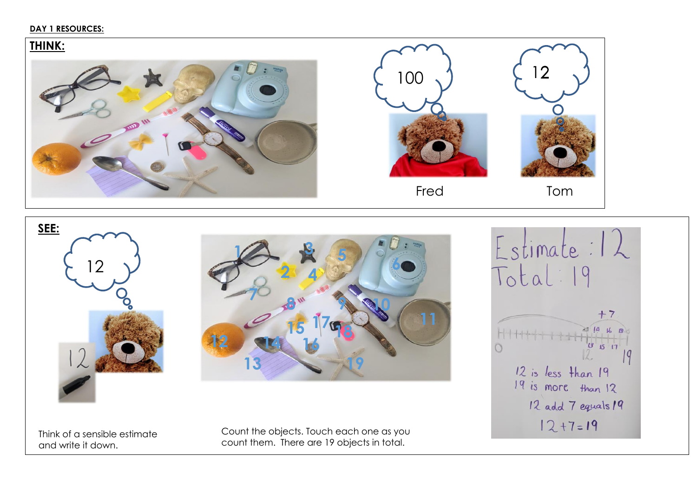## **DAY 1 RESOURCES:**

# **THINK:**  Fred Tom



Think of a sensible estimate and write it down.

Count the objects. Touch each one as you count them. There are 19 objects in total.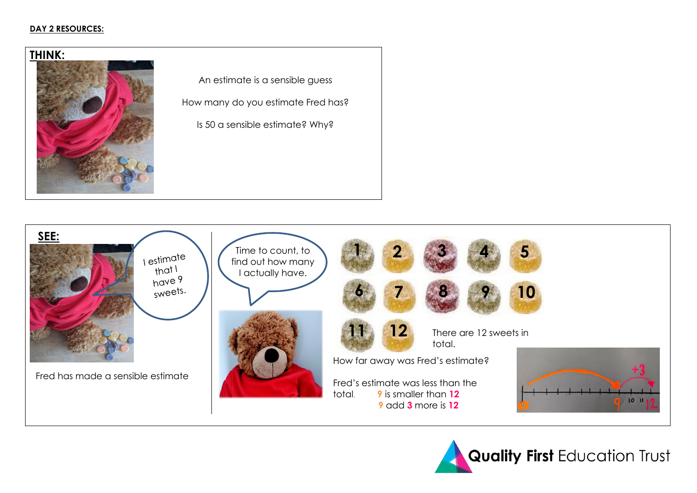### **DAY 2 RESOURCES:**



An estimate is a sensible guess

How many do you estimate Fred has?

Is 50 a sensible estimate? Why?



**Quality First Education Trust**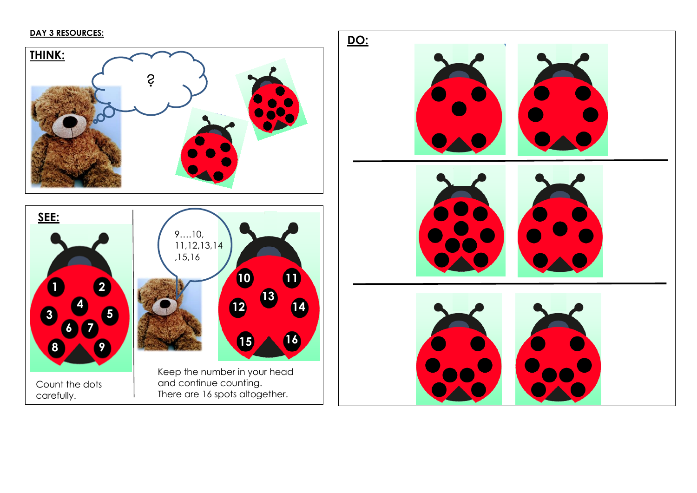# **DAY 3 RESOURCES:**

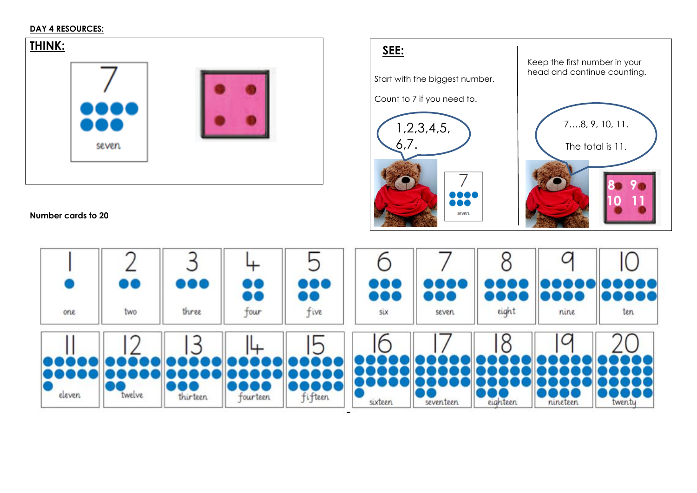### **DAY 4 RESOURCES:**



# **Number cards to 20**



Start with the biggest number.

Count to 7 i f you need to.